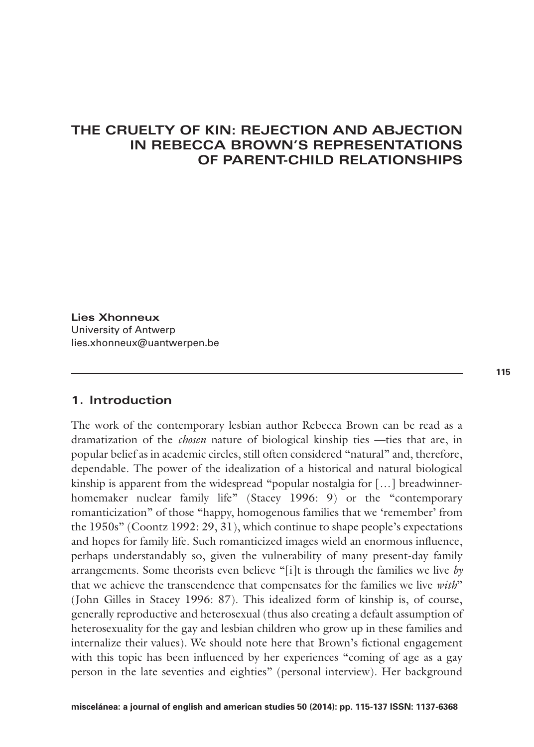## **THE CRUELTY OF KIN: REJECTION AND ABJECTION IN REBECCA BROWN'S REPRESENTATIONS OF PARENT-CHILD RELATIONSHIPS**

**Lies Xhonneux** University of Antwerp lies.xhonneux@uantwerpen.be

### **1. Introduction**

The work of the contemporary lesbian author Rebecca Brown can be read as a dramatization of the *chosen* nature of biological kinship ties —ties that are, in popular belief as in academic circles, still often considered "natural" and, therefore, dependable. The power of the idealization of a historical and natural biological kinship is apparent from the widespread "popular nostalgia for […] breadwinnerhomemaker nuclear family life" (Stacey 1996: 9) or the "contemporary romanticization" of those "happy, homogenous families that we 'remember' from the 1950s" (Coontz 1992: 29, 31), which continue to shape people's expectations and hopes for family life. Such romanticized images wield an enormous influence, perhaps understandably so, given the vulnerability of many present-day family arrangements. Some theorists even believe "[i]t is through the families we live *by* that we achieve the transcendence that compensates for the families we live *with*" (John Gilles in Stacey 1996: 87). This idealized form of kinship is, of course, generally reproductive and heterosexual (thus also creating a default assumption of heterosexuality for the gay and lesbian children who grow up in these families and internalize their values). We should note here that Brown's fictional engagement with this topic has been influenced by her experiences "coming of age as a gay person in the late seventies and eighties" (personal interview). Her background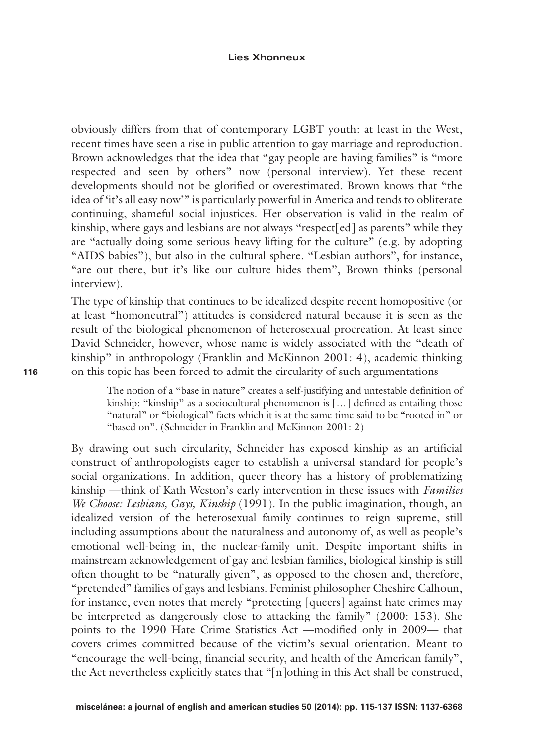#### **Lies Xhonneux**

obviously differs from that of contemporary LGBT youth: at least in the West, recent times have seen a rise in public attention to gay marriage and reproduction. Brown acknowledges that the idea that "gay people are having families" is "more respected and seen by others" now (personal interview). Yet these recent developments should not be glorified or overestimated. Brown knows that "the idea of 'it's all easy now'" is particularly powerful in America and tends to obliterate continuing, shameful social injustices. Her observation is valid in the realm of kinship, where gays and lesbians are not always "respect[ed] as parents" while they are "actually doing some serious heavy lifting for the culture" (e.g. by adopting "AIDS babies"), but also in the cultural sphere. "Lesbian authors", for instance, "are out there, but it's like our culture hides them", Brown thinks (personal interview).

The type of kinship that continues to be idealized despite recent homopositive (or at least "homoneutral") attitudes is considered natural because it is seen as the result of the biological phenomenon of heterosexual procreation. At least since David Schneider, however, whose name is widely associated with the "death of kinship" in anthropology (Franklin and McKinnon 2001: 4), academic thinking on this topic has been forced to admit the circularity of such argumentations

The notion of a "base in nature" creates a self-justifying and untestable definition of kinship: "kinship" as a sociocultural phenomenon is [...] defined as entailing those "natural" or "biological" facts which it is at the same time said to be "rooted in" or "based on". (Schneider in Franklin and McKinnon 2001: 2)

By drawing out such circularity, Schneider has exposed kinship as an artificial construct of anthropologists eager to establish a universal standard for people's social organizations. In addition, queer theory has a history of problematizing kinship —think of Kath Weston's early intervention in these issues with *Families We Choose: Lesbians, Gays, Kinship* (1991). In the public imagination, though, an idealized version of the heterosexual family continues to reign supreme, still including assumptions about the naturalness and autonomy of, as well as people's emotional well-being in, the nuclear-family unit. Despite important shifts in mainstream acknowledgement of gay and lesbian families, biological kinship is still often thought to be "naturally given", as opposed to the chosen and, therefore, "pretended" families of gays and lesbians. Feminist philosopher Cheshire Calhoun, for instance, even notes that merely "protecting [queers] against hate crimes may be interpreted as dangerously close to attacking the family" (2000: 153). She points to the 1990 Hate Crime Statistics Act —modified only in 2009— that covers crimes committed because of the victim's sexual orientation. Meant to "encourage the well-being, financial security, and health of the American family", the Act nevertheless explicitly states that "[n]othing in this Act shall be construed,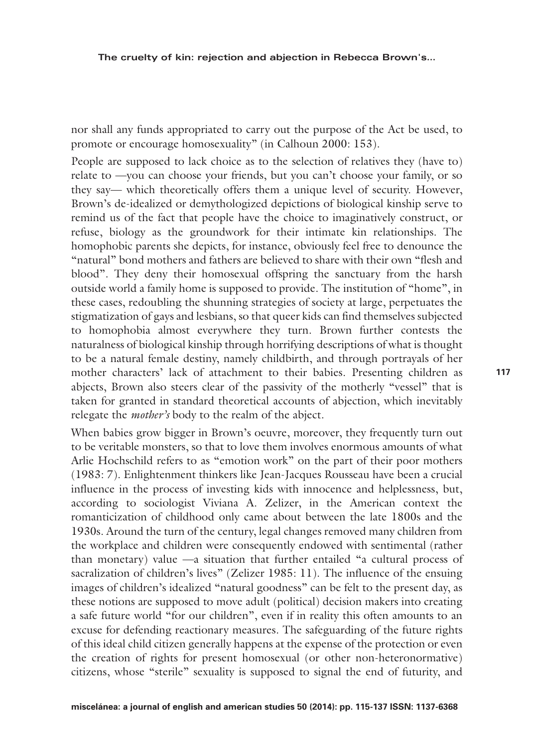nor shall any funds appropriated to carry out the purpose of the Act be used, to promote or encourage homosexuality" (in Calhoun 2000: 153).

People are supposed to lack choice as to the selection of relatives they (have to) relate to —you can choose your friends, but you can't choose your family, or so they say— which theoretically offers them a unique level of security. However, Brown's de-idealized or demythologized depictions of biological kinship serve to remind us of the fact that people have the choice to imaginatively construct, or refuse, biology as the groundwork for their intimate kin relationships. The homophobic parents she depicts, for instance, obviously feel free to denounce the "natural" bond mothers and fathers are believed to share with their own "flesh and blood". They deny their homosexual offspring the sanctuary from the harsh outside world a family home is supposed to provide. The institution of "home", in these cases, redoubling the shunning strategies of society at large, perpetuates the stigmatization of gays and lesbians, so that queer kids can find themselves subjected to homophobia almost everywhere they turn. Brown further contests the naturalness of biological kinship through horrifying descriptions of what is thought to be a natural female destiny, namely childbirth, and through portrayals of her mother characters' lack of attachment to their babies. Presenting children as abjects, Brown also steers clear of the passivity of the motherly "vessel" that is taken for granted in standard theoretical accounts of abjection, which inevitably relegate the *mother's* body to the realm of the abject.

When babies grow bigger in Brown's oeuvre, moreover, they frequently turn out to be veritable monsters, so that to love them involves enormous amounts of what Arlie Hochschild refers to as "emotion work" on the part of their poor mothers (1983: 7). Enlightenment thinkers like Jean-Jacques Rousseau have been a crucial influence in the process of investing kids with innocence and helplessness, but, according to sociologist Viviana A. Zelizer, in the American context the romanticization of childhood only came about between the late 1800s and the 1930s. Around the turn of the century, legal changes removed many children from the workplace and children were consequently endowed with sentimental (rather than monetary) value —a situation that further entailed "a cultural process of sacralization of children's lives" (Zelizer 1985: 11). The influence of the ensuing images of children's idealized "natural goodness" can be felt to the present day, as these notions are supposed to move adult (political) decision makers into creating a safe future world "for our children", even if in reality this often amounts to an excuse for defending reactionary measures. The safeguarding of the future rights of this ideal child citizen generally happens at the expense of the protection or even the creation of rights for present homosexual (or other non-heteronormative) citizens, whose "sterile" sexuality is supposed to signal the end of futurity, and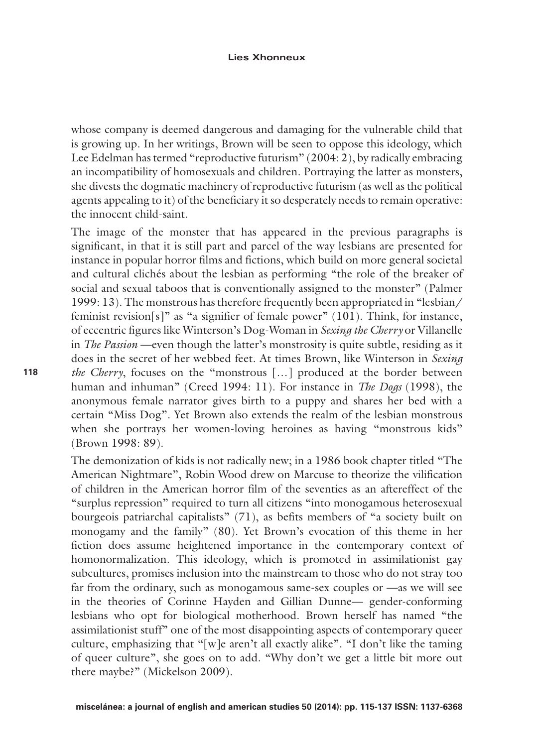#### **Lies Xhonneux**

whose company is deemed dangerous and damaging for the vulnerable child that is growing up. In her writings, Brown will be seen to oppose this ideology, which Lee Edelman has termed "reproductive futurism" (2004: 2), by radically embracing an incompatibility of homosexuals and children. Portraying the latter as monsters, she divests the dogmatic machinery of reproductive futurism (as well as the political agents appealing to it) of the beneficiary it so desperately needs to remain operative: the innocent child-saint.

The image of the monster that has appeared in the previous paragraphs is significant, in that it is still part and parcel of the way lesbians are presented for instance in popular horror films and fictions, which build on more general societal and cultural clichés about the lesbian as performing "the role of the breaker of social and sexual taboos that is conventionally assigned to the monster" (Palmer 1999: 13). The monstrous has therefore frequently been appropriated in "lesbian/ feminist revision $[s]^n$  as "a signifier of female power" (101). Think, for instance, of eccentric figures like Winterson's Dog-Woman in *Sexing the Cherry* or Villanelle in *The Passion* —even though the latter's monstrosity is quite subtle, residing as it does in the secret of her webbed feet. At times Brown, like Winterson in *Sexing the Cherry*, focuses on the "monstrous […] produced at the border between human and inhuman" (Creed 1994: 11). For instance in *The Dogs* (1998), the anonymous female narrator gives birth to a puppy and shares her bed with a certain "Miss Dog". Yet Brown also extends the realm of the lesbian monstrous when she portrays her women-loving heroines as having "monstrous kids" (Brown 1998: 89).

The demonization of kids is not radically new; in a 1986 book chapter titled "The American Nightmare", Robin Wood drew on Marcuse to theorize the vilification of children in the American horror film of the seventies as an aftereffect of the "surplus repression" required to turn all citizens "into monogamous heterosexual bourgeois patriarchal capitalists" (71), as befits members of "a society built on monogamy and the family" (80). Yet Brown's evocation of this theme in her fiction does assume heightened importance in the contemporary context of homonormalization. This ideology, which is promoted in assimilationist gay subcultures, promises inclusion into the mainstream to those who do not stray too far from the ordinary, such as monogamous same-sex couples or —as we will see in the theories of Corinne Hayden and Gillian Dunne— gender-conforming lesbians who opt for biological motherhood. Brown herself has named "the assimilationist stuff" one of the most disappointing aspects of contemporary queer culture, emphasizing that "[w]e aren't all exactly alike". "I don't like the taming of queer culture", she goes on to add. "Why don't we get a little bit more out there maybe?" (Mickelson 2009).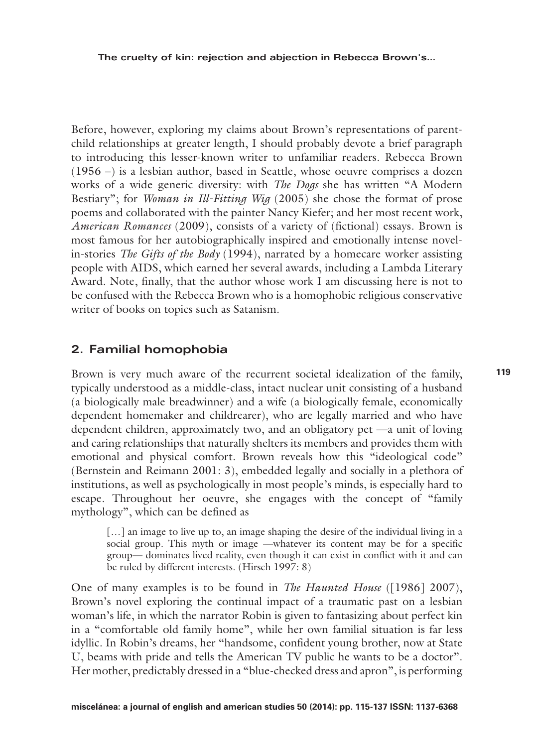Before, however, exploring my claims about Brown's representations of parentchild relationships at greater length, I should probably devote a brief paragraph to introducing this lesser-known writer to unfamiliar readers. Rebecca Brown (1956 –) is a lesbian author, based in Seattle, whose oeuvre comprises a dozen works of a wide generic diversity: with *The Dogs* she has written "A Modern Bestiary"; for *Woman in Ill-Fitting Wig* (2005) she chose the format of prose poems and collaborated with the painter Nancy Kiefer; and her most recent work, *American Romances* (2009), consists of a variety of (fictional) essays. Brown is most famous for her autobiographically inspired and emotionally intense novelin-stories *The Gifts of the Body* (1994), narrated by a homecare worker assisting people with AIDS, which earned her several awards, including a Lambda Literary Award. Note, finally, that the author whose work I am discussing here is not to be confused with the Rebecca Brown who is a homophobic religious conservative writer of books on topics such as Satanism.

### **2. Familial homophobia**

Brown is very much aware of the recurrent societal idealization of the family, typically understood as a middle-class, intact nuclear unit consisting of a husband (a biologically male breadwinner) and a wife (a biologically female, economically dependent homemaker and childrearer), who are legally married and who have dependent children, approximately two, and an obligatory pet —a unit of loving and caring relationships that naturally shelters its members and provides them with emotional and physical comfort. Brown reveals how this "ideological code" (Bernstein and Reimann 2001: 3), embedded legally and socially in a plethora of institutions, as well as psychologically in most people's minds, is especially hard to escape. Throughout her oeuvre, she engages with the concept of "family mythology", which can be defined as

[...] an image to live up to, an image shaping the desire of the individual living in a social group. This myth or image —whatever its content may be for a specific group— dominates lived reality, even though it can exist in conflict with it and can be ruled by different interests. (Hirsch 1997: 8)

One of many examples is to be found in *The Haunted House* ([1986] 2007), Brown's novel exploring the continual impact of a traumatic past on a lesbian woman's life, in which the narrator Robin is given to fantasizing about perfect kin in a "comfortable old family home", while her own familial situation is far less idyllic. In Robin's dreams, her "handsome, confident young brother, now at State U, beams with pride and tells the American TV public he wants to be a doctor". Her mother, predictably dressed in a "blue-checked dress and apron", is performing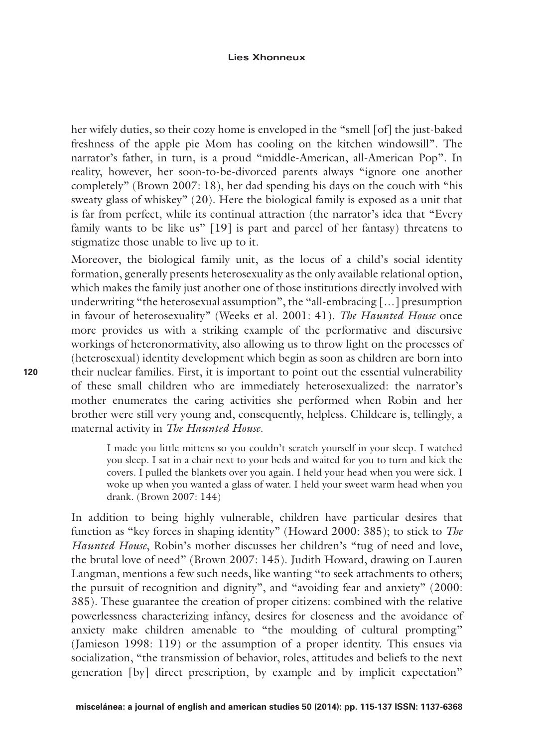#### **Lies Xhonneux**

her wifely duties, so their cozy home is enveloped in the "smell [of] the just-baked freshness of the apple pie Mom has cooling on the kitchen windowsill". The narrator's father, in turn, is a proud "middle-American, all-American Pop". In reality, however, her soon-to-be-divorced parents always "ignore one another completely" (Brown 2007: 18), her dad spending his days on the couch with "his sweaty glass of whiskey" (20). Here the biological family is exposed as a unit that is far from perfect, while its continual attraction (the narrator's idea that "Every family wants to be like us" [19] is part and parcel of her fantasy) threatens to stigmatize those unable to live up to it.

Moreover, the biological family unit, as the locus of a child's social identity formation, generally presents heterosexuality as the only available relational option, which makes the family just another one of those institutions directly involved with underwriting "the heterosexual assumption", the "all-embracing […] presumption in favour of heterosexuality" (Weeks et al. 2001: 41). *The Haunted House* once more provides us with a striking example of the performative and discursive workings of heteronormativity, also allowing us to throw light on the processes of (heterosexual) identity development which begin as soon as children are born into their nuclear families. First, it is important to point out the essential vulnerability of these small children who are immediately heterosexualized: the narrator's mother enumerates the caring activities she performed when Robin and her brother were still very young and, consequently, helpless. Childcare is, tellingly, a maternal activity in *The Haunted House*.

I made you little mittens so you couldn't scratch yourself in your sleep. I watched you sleep. I sat in a chair next to your beds and waited for you to turn and kick the covers. I pulled the blankets over you again. I held your head when you were sick. I woke up when you wanted a glass of water. I held your sweet warm head when you drank. (Brown 2007: 144)

In addition to being highly vulnerable, children have particular desires that function as "key forces in shaping identity" (Howard 2000: 385); to stick to *The Haunted House*, Robin's mother discusses her children's "tug of need and love, the brutal love of need" (Brown 2007: 145). Judith Howard, drawing on Lauren Langman, mentions a few such needs, like wanting "to seek attachments to others; the pursuit of recognition and dignity", and "avoiding fear and anxiety" (2000: 385). These guarantee the creation of proper citizens: combined with the relative powerlessness characterizing infancy, desires for closeness and the avoidance of anxiety make children amenable to "the moulding of cultural prompting" (Jamieson 1998: 119) or the assumption of a proper identity. This ensues via socialization, "the transmission of behavior, roles, attitudes and beliefs to the next generation [by] direct prescription, by example and by implicit expectation"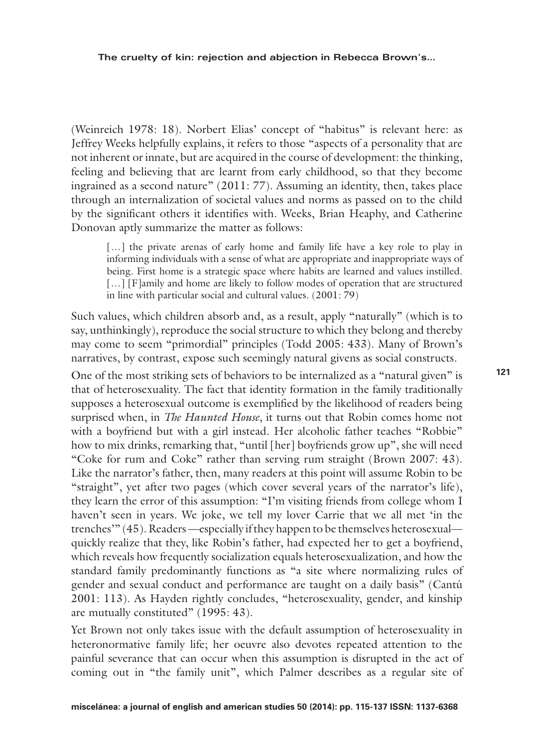(Weinreich 1978: 18). Norbert Elias' concept of "habitus" is relevant here: as Jeffrey Weeks helpfully explains, it refers to those "aspects of a personality that are not inherent or innate, but are acquired in the course of development: the thinking, feeling and believing that are learnt from early childhood, so that they become ingrained as a second nature" (2011: 77). Assuming an identity, then, takes place through an internalization of societal values and norms as passed on to the child by the significant others it identifies with. Weeks, Brian Heaphy, and Catherine Donovan aptly summarize the matter as follows:

[...] the private arenas of early home and family life have a key role to play in informing individuals with a sense of what are appropriate and inappropriate ways of being. First home is a strategic space where habits are learned and values instilled. [...] [F]amily and home are likely to follow modes of operation that are structured in line with particular social and cultural values. (2001: 79)

Such values, which children absorb and, as a result, apply "naturally" (which is to say, unthinkingly), reproduce the social structure to which they belong and thereby may come to seem "primordial" principles (Todd 2005: 433). Many of Brown's narratives, by contrast, expose such seemingly natural givens as social constructs.

One of the most striking sets of behaviors to be internalized as a "natural given" is that of heterosexuality. The fact that identity formation in the family traditionally supposes a heterosexual outcome is exemplified by the likelihood of readers being surprised when, in *The Haunted House*, it turns out that Robin comes home not with a boyfriend but with a girl instead. Her alcoholic father teaches "Robbie" how to mix drinks, remarking that, "until [her] boyfriends grow up", she will need "Coke for rum and Coke" rather than serving rum straight (Brown 2007: 43). Like the narrator's father, then, many readers at this point will assume Robin to be "straight", yet after two pages (which cover several years of the narrator's life), they learn the error of this assumption: "I'm visiting friends from college whom I haven't seen in years. We joke, we tell my lover Carrie that we all met 'in the trenches'" (45). Readers —especially if they happen to be themselves heterosexual quickly realize that they, like Robin's father, had expected her to get a boyfriend, which reveals how frequently socialization equals heterosexualization, and how the standard family predominantly functions as "a site where normalizing rules of gender and sexual conduct and performance are taught on a daily basis" (Cantú 2001: 113). As Hayden rightly concludes, "heterosexuality, gender, and kinship are mutually constituted" (1995: 43).

Yet Brown not only takes issue with the default assumption of heterosexuality in heteronormative family life; her oeuvre also devotes repeated attention to the painful severance that can occur when this assumption is disrupted in the act of coming out in "the family unit", which Palmer describes as a regular site of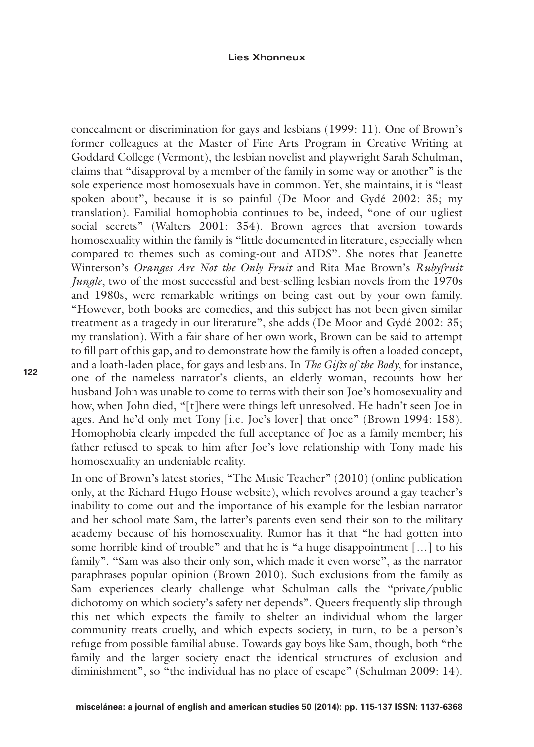concealment or discrimination for gays and lesbians (1999: 11). One of Brown's former colleagues at the Master of Fine Arts Program in Creative Writing at Goddard College (Vermont), the lesbian novelist and playwright Sarah Schulman, claims that "disapproval by a member of the family in some way or another" is the sole experience most homosexuals have in common. Yet, she maintains, it is "least spoken about", because it is so painful (De Moor and Gydé 2002: 35; my translation). Familial homophobia continues to be, indeed, "one of our ugliest social secrets" (Walters 2001: 354). Brown agrees that aversion towards homosexuality within the family is "little documented in literature, especially when compared to themes such as coming-out and AIDS". She notes that Jeanette Winterson's *Oranges Are Not the Only Fruit* and Rita Mae Brown's *Rubyfruit Jungle*, two of the most successful and best-selling lesbian novels from the 1970s and 1980s, were remarkable writings on being cast out by your own family. "However, both books are comedies, and this subject has not been given similar treatment as a tragedy in our literature", she adds (De Moor and Gydé 2002: 35; my translation). With a fair share of her own work, Brown can be said to attempt to fill part of this gap, and to demonstrate how the family is often a loaded concept, and a loath-laden place, for gays and lesbians. In *The Gifts of the Body*, for instance, one of the nameless narrator's clients, an elderly woman, recounts how her husband John was unable to come to terms with their son Joe's homosexuality and how, when John died, "[t]here were things left unresolved. He hadn't seen Joe in ages. And he'd only met Tony [i.e. Joe's lover] that once" (Brown 1994: 158). Homophobia clearly impeded the full acceptance of Joe as a family member; his father refused to speak to him after Joe's love relationship with Tony made his homosexuality an undeniable reality.

In one of Brown's latest stories, "The Music Teacher" (2010) (online publication only, at the Richard Hugo House website), which revolves around a gay teacher's inability to come out and the importance of his example for the lesbian narrator and her school mate Sam, the latter's parents even send their son to the military academy because of his homosexuality. Rumor has it that "he had gotten into some horrible kind of trouble" and that he is "a huge disappointment […] to his family". "Sam was also their only son, which made it even worse", as the narrator paraphrases popular opinion (Brown 2010). Such exclusions from the family as Sam experiences clearly challenge what Schulman calls the "private/public dichotomy on which society's safety net depends". Queers frequently slip through this net which expects the family to shelter an individual whom the larger community treats cruelly, and which expects society, in turn, to be a person's refuge from possible familial abuse. Towards gay boys like Sam, though, both "the family and the larger society enact the identical structures of exclusion and diminishment", so "the individual has no place of escape" (Schulman 2009: 14).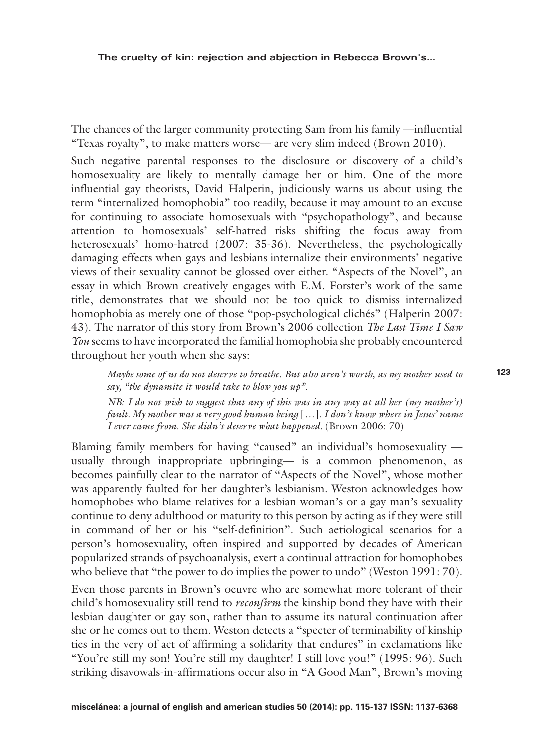The chances of the larger community protecting Sam from his family —influential "Texas royalty", to make matters worse— are very slim indeed (Brown 2010).

Such negative parental responses to the disclosure or discovery of a child's homosexuality are likely to mentally damage her or him. One of the more influential gay theorists, David Halperin, judiciously warns us about using the term "internalized homophobia" too readily, because it may amount to an excuse for continuing to associate homosexuals with "psychopathology", and because attention to homosexuals' self-hatred risks shifting the focus away from heterosexuals' homo-hatred (2007: 35-36). Nevertheless, the psychologically damaging effects when gays and lesbians internalize their environments' negative views of their sexuality cannot be glossed over either. "Aspects of the Novel", an essay in which Brown creatively engages with E.M. Forster's work of the same title, demonstrates that we should not be too quick to dismiss internalized homophobia as merely one of those "pop-psychological clichés" (Halperin 2007: 43). The narrator of this story from Brown's 2006 collection *The Last Time I Saw You* seems to have incorporated the familial homophobia she probably encountered throughout her youth when she says:

*Maybe some of us do not deserve to breathe. But also aren't worth, as my mother used to say, "the dynamite it would take to blow you up".* 

*NB: I do not wish to suggest that any of this was in any way at all her (my mother's) fault. My mother was a very good human being* [*…*]*. I don't know where in Jesus' name I ever came from. She didn't deserve what happened.* (Brown 2006: 70)

Blaming family members for having "caused" an individual's homosexuality usually through inappropriate upbringing— is a common phenomenon, as becomes painfully clear to the narrator of "Aspects of the Novel", whose mother was apparently faulted for her daughter's lesbianism. Weston acknowledges how homophobes who blame relatives for a lesbian woman's or a gay man's sexuality continue to deny adulthood or maturity to this person by acting as if they were still in command of her or his "self-definition". Such aetiological scenarios for a person's homosexuality, often inspired and supported by decades of American popularized strands of psychoanalysis, exert a continual attraction for homophobes who believe that "the power to do implies the power to undo" (Weston 1991: 70).

Even those parents in Brown's oeuvre who are somewhat more tolerant of their child's homosexuality still tend to *reconfirm* the kinship bond they have with their lesbian daughter or gay son, rather than to assume its natural continuation after she or he comes out to them. Weston detects a "specter of terminability of kinship ties in the very of act of affirming a solidarity that endures" in exclamations like "You're still my son! You're still my daughter! I still love you!" (1995: 96). Such striking disavowals-in-affirmations occur also in "A Good Man", Brown's moving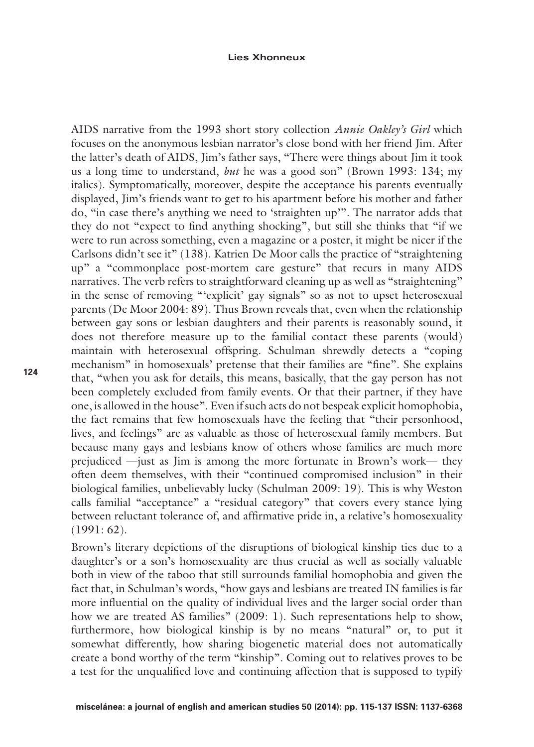AIDS narrative from the 1993 short story collection *Annie Oakley's Girl* which focuses on the anonymous lesbian narrator's close bond with her friend Jim. After the latter's death of AIDS, Jim's father says, "There were things about Jim it took us a long time to understand, *but* he was a good son" (Brown 1993: 134; my italics). Symptomatically, moreover, despite the acceptance his parents eventually displayed, Jim's friends want to get to his apartment before his mother and father do, "in case there's anything we need to 'straighten up'". The narrator adds that they do not "expect to find anything shocking", but still she thinks that "if we were to run across something, even a magazine or a poster, it might be nicer if the Carlsons didn't see it" (138). Katrien De Moor calls the practice of "straightening up" a "commonplace post-mortem care gesture" that recurs in many AIDS narratives. The verb refers to straightforward cleaning up as well as "straightening" in the sense of removing "'explicit' gay signals" so as not to upset heterosexual parents (De Moor 2004: 89). Thus Brown reveals that, even when the relationship between gay sons or lesbian daughters and their parents is reasonably sound, it does not therefore measure up to the familial contact these parents (would) maintain with heterosexual offspring. Schulman shrewdly detects a "coping mechanism" in homosexuals' pretense that their families are "fine". She explains that, "when you ask for details, this means, basically, that the gay person has not been completely excluded from family events. Or that their partner, if they have one, is allowed in the house". Even if such acts do not bespeak explicit homophobia, the fact remains that few homosexuals have the feeling that "their personhood, lives, and feelings" are as valuable as those of heterosexual family members. But because many gays and lesbians know of others whose families are much more prejudiced —just as Jim is among the more fortunate in Brown's work— they often deem themselves, with their "continued compromised inclusion" in their biological families, unbelievably lucky (Schulman 2009: 19). This is why Weston calls familial "acceptance" a "residual category" that covers every stance lying between reluctant tolerance of, and affirmative pride in, a relative's homosexuality  $(1991:62)$ .

Brown's literary depictions of the disruptions of biological kinship ties due to a daughter's or a son's homosexuality are thus crucial as well as socially valuable both in view of the taboo that still surrounds familial homophobia and given the fact that, in Schulman's words, "how gays and lesbians are treated IN families is far more influential on the quality of individual lives and the larger social order than how we are treated AS families" (2009: 1). Such representations help to show, furthermore, how biological kinship is by no means "natural" or, to put it somewhat differently, how sharing biogenetic material does not automatically create a bond worthy of the term "kinship". Coming out to relatives proves to be a test for the unqualified love and continuing affection that is supposed to typify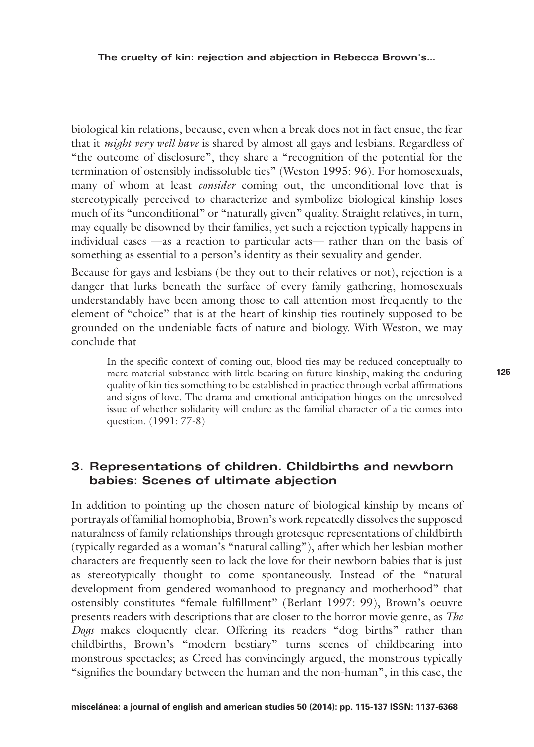biological kin relations, because, even when a break does not in fact ensue, the fear that it *might very well have* is shared by almost all gays and lesbians. Regardless of "the outcome of disclosure", they share a "recognition of the potential for the termination of ostensibly indissoluble ties" (Weston 1995: 96). For homosexuals, many of whom at least *consider* coming out, the unconditional love that is stereotypically perceived to characterize and symbolize biological kinship loses much of its "unconditional" or "naturally given" quality. Straight relatives, in turn, may equally be disowned by their families, yet such a rejection typically happens in individual cases —as a reaction to particular acts— rather than on the basis of something as essential to a person's identity as their sexuality and gender.

Because for gays and lesbians (be they out to their relatives or not), rejection is a danger that lurks beneath the surface of every family gathering, homosexuals understandably have been among those to call attention most frequently to the element of "choice" that is at the heart of kinship ties routinely supposed to be grounded on the undeniable facts of nature and biology. With Weston, we may conclude that

In the specific context of coming out, blood ties may be reduced conceptually to mere material substance with little bearing on future kinship, making the enduring quality of kin ties something to be established in practice through verbal affirmations and signs of love. The drama and emotional anticipation hinges on the unresolved issue of whether solidarity will endure as the familial character of a tie comes into question. (1991: 77-8)

## **3. Representations of children. Childbirths and newborn babies: Scenes of ultimate abjection**

In addition to pointing up the chosen nature of biological kinship by means of portrayals of familial homophobia, Brown's work repeatedly dissolves the supposed naturalness of family relationships through grotesque representations of childbirth (typically regarded as a woman's "natural calling"), after which her lesbian mother characters are frequently seen to lack the love for their newborn babies that is just as stereotypically thought to come spontaneously. Instead of the "natural development from gendered womanhood to pregnancy and motherhood" that ostensibly constitutes "female fulfillment" (Berlant 1997: 99), Brown's oeuvre presents readers with descriptions that are closer to the horror movie genre, as *The Dogs* makes eloquently clear. Offering its readers "dog births" rather than childbirths, Brown's "modern bestiary" turns scenes of childbearing into monstrous spectacles; as Creed has convincingly argued, the monstrous typically "signifies the boundary between the human and the non-human", in this case, the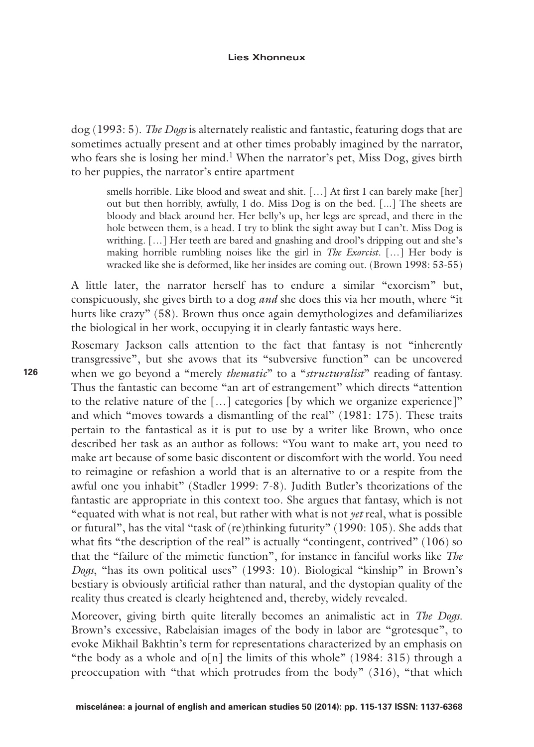dog (1993: 5). *The Dogs* is alternately realistic and fantastic, featuring dogs that are sometimes actually present and at other times probably imagined by the narrator, who fears she is losing her mind.<sup>1</sup> When the narrator's pet, Miss Dog, gives birth to her puppies, the narrator's entire apartment

smells horrible. Like blood and sweat and shit. […] At first I can barely make [her] out but then horribly, awfully, I do. Miss Dog is on the bed. [...] The sheets are bloody and black around her. Her belly's up, her legs are spread, and there in the hole between them, is a head. I try to blink the sight away but I can't. Miss Dog is writhing. […] Her teeth are bared and gnashing and drool's dripping out and she's making horrible rumbling noises like the girl in *The Exorcist*. […] Her body is wracked like she is deformed, like her insides are coming out. (Brown 1998: 53-55)

A little later, the narrator herself has to endure a similar "exorcism" but, conspicuously, she gives birth to a dog *and* she does this via her mouth, where "it hurts like crazy" (58). Brown thus once again demythologizes and defamiliarizes the biological in her work, occupying it in clearly fantastic ways here.

Rosemary Jackson calls attention to the fact that fantasy is not "inherently transgressive", but she avows that its "subversive function" can be uncovered when we go beyond a "merely *thematic*" to a "*structuralist*" reading of fantasy. Thus the fantastic can become "an art of estrangement" which directs "attention to the relative nature of the […] categories [by which we organize experience]" and which "moves towards a dismantling of the real" (1981: 175). These traits pertain to the fantastical as it is put to use by a writer like Brown, who once described her task as an author as follows: "You want to make art, you need to make art because of some basic discontent or discomfort with the world. You need to reimagine or refashion a world that is an alternative to or a respite from the awful one you inhabit" (Stadler 1999: 7-8). Judith Butler's theorizations of the fantastic are appropriate in this context too. She argues that fantasy, which is not "equated with what is not real, but rather with what is not *yet* real, what is possible or futural", has the vital "task of (re)thinking futurity" (1990: 105). She adds that what fits "the description of the real" is actually "contingent, contrived" (106) so that the "failure of the mimetic function", for instance in fanciful works like *The Dogs*, "has its own political uses" (1993: 10). Biological "kinship" in Brown's bestiary is obviously artificial rather than natural, and the dystopian quality of the reality thus created is clearly heightened and, thereby, widely revealed.

Moreover, giving birth quite literally becomes an animalistic act in *The Dogs*. Brown's excessive, Rabelaisian images of the body in labor are "grotesque", to evoke Mikhail Bakhtin's term for representations characterized by an emphasis on "the body as a whole and o[n] the limits of this whole" (1984: 315) through a preoccupation with "that which protrudes from the body" (316), "that which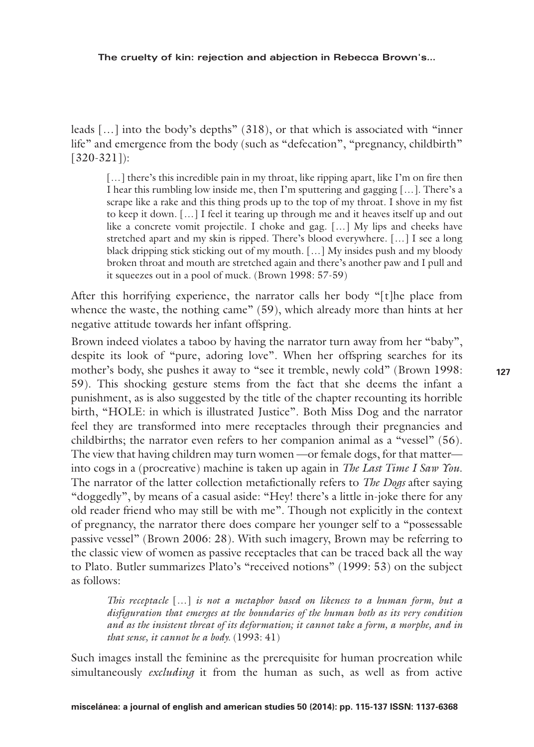leads […] into the body's depths" (318), or that which is associated with "inner life" and emergence from the body (such as "defecation", "pregnancy, childbirth" [320-321]):

[...] there's this incredible pain in my throat, like ripping apart, like I'm on fire then I hear this rumbling low inside me, then I'm sputtering and gagging […]. There's a scrape like a rake and this thing prods up to the top of my throat. I shove in my fist to keep it down. […] I feel it tearing up through me and it heaves itself up and out like a concrete vomit projectile. I choke and gag. […] My lips and cheeks have stretched apart and my skin is ripped. There's blood everywhere. […] I see a long black dripping stick sticking out of my mouth. […] My insides push and my bloody broken throat and mouth are stretched again and there's another paw and I pull and it squeezes out in a pool of muck. (Brown 1998: 57-59)

After this horrifying experience, the narrator calls her body "[t]he place from whence the waste, the nothing came" (59), which already more than hints at her negative attitude towards her infant offspring.

Brown indeed violates a taboo by having the narrator turn away from her "baby", despite its look of "pure, adoring love". When her offspring searches for its mother's body, she pushes it away to "see it tremble, newly cold" (Brown 1998: 59). This shocking gesture stems from the fact that she deems the infant a punishment, as is also suggested by the title of the chapter recounting its horrible birth, "HOLE: in which is illustrated Justice". Both Miss Dog and the narrator feel they are transformed into mere receptacles through their pregnancies and childbirths; the narrator even refers to her companion animal as a "vessel" (56). The view that having children may turn women —or female dogs, for that matter into cogs in a (procreative) machine is taken up again in *The Last Time I Saw You*. The narrator of the latter collection metafictionally refers to *The Dogs* after saying "doggedly", by means of a casual aside: "Hey! there's a little in-joke there for any old reader friend who may still be with me". Though not explicitly in the context of pregnancy, the narrator there does compare her younger self to a "possessable passive vessel" (Brown 2006: 28). With such imagery, Brown may be referring to the classic view of women as passive receptacles that can be traced back all the way to Plato. Butler summarizes Plato's "received notions" (1999: 53) on the subject as follows:

*This receptacle* […] *is not a metaphor based on likeness to a human form, but a disfiguration that emerges at the boundaries of the human both as its very condition and as the insistent threat of its deformation; it cannot take a form, a morphe, and in that sense, it cannot be a body.* (1993: 41)

Such images install the feminine as the prerequisite for human procreation while simultaneously *excluding* it from the human as such, as well as from active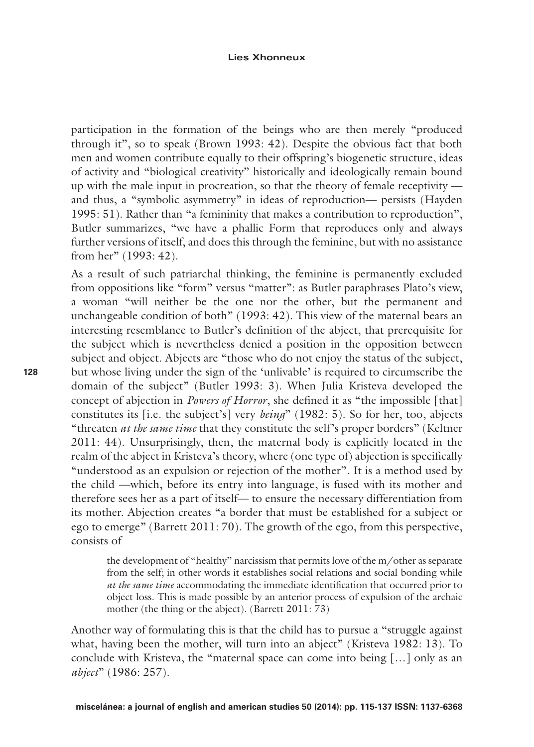participation in the formation of the beings who are then merely "produced through it", so to speak (Brown 1993: 42). Despite the obvious fact that both men and women contribute equally to their offspring's biogenetic structure, ideas of activity and "biological creativity" historically and ideologically remain bound up with the male input in procreation, so that the theory of female receptivity and thus, a "symbolic asymmetry" in ideas of reproduction— persists (Hayden 1995: 51). Rather than "a femininity that makes a contribution to reproduction", Butler summarizes, "we have a phallic Form that reproduces only and always further versions of itself, and does this through the feminine, but with no assistance from her" (1993: 42).

As a result of such patriarchal thinking, the feminine is permanently excluded from oppositions like "form" versus "matter": as Butler paraphrases Plato's view, a woman "will neither be the one nor the other, but the permanent and unchangeable condition of both" (1993: 42). This view of the maternal bears an interesting resemblance to Butler's definition of the abject, that prerequisite for the subject which is nevertheless denied a position in the opposition between subject and object. Abjects are "those who do not enjoy the status of the subject, but whose living under the sign of the 'unlivable' is required to circumscribe the domain of the subject" (Butler 1993: 3). When Julia Kristeva developed the concept of abjection in *Powers of Horror*, she defined it as "the impossible [that] constitutes its [i.e. the subject's] very *being*" (1982: 5). So for her, too, abjects "threaten *at the same time* that they constitute the self's proper borders" (Keltner 2011: 44). Unsurprisingly, then, the maternal body is explicitly located in the realm of the abject in Kristeva's theory, where (one type of) abjection is specifically "understood as an expulsion or rejection of the mother". It is a method used by the child —which, before its entry into language, is fused with its mother and therefore sees her as a part of itself— to ensure the necessary differentiation from its mother. Abjection creates "a border that must be established for a subject or ego to emerge" (Barrett 2011: 70). The growth of the ego, from this perspective, consists of

the development of "healthy" narcissism that permits love of the m/other as separate from the self; in other words it establishes social relations and social bonding while *at the same time* accommodating the immediate identification that occurred prior to object loss. This is made possible by an anterior process of expulsion of the archaic mother (the thing or the abject). (Barrett 2011: 73)

Another way of formulating this is that the child has to pursue a "struggle against what, having been the mother, will turn into an abject" (Kristeva 1982: 13). To conclude with Kristeva, the "maternal space can come into being […] only as an *abject*" (1986: 257).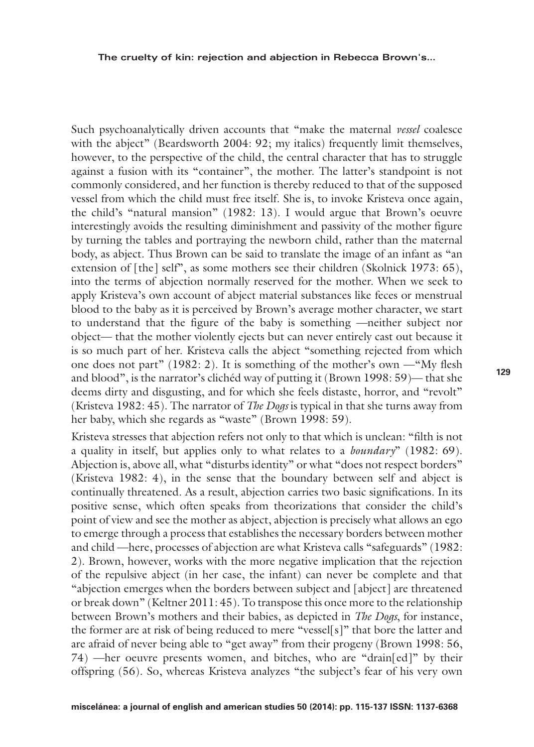Such psychoanalytically driven accounts that "make the maternal *vessel* coalesce with the abject" (Beardsworth 2004: 92; my italics) frequently limit themselves, however, to the perspective of the child, the central character that has to struggle against a fusion with its "container", the mother. The latter's standpoint is not commonly considered, and her function is thereby reduced to that of the supposed vessel from which the child must free itself. She is, to invoke Kristeva once again, the child's "natural mansion" (1982: 13). I would argue that Brown's oeuvre interestingly avoids the resulting diminishment and passivity of the mother figure by turning the tables and portraying the newborn child, rather than the maternal body, as abject. Thus Brown can be said to translate the image of an infant as "an extension of [the] self", as some mothers see their children (Skolnick 1973: 65), into the terms of abjection normally reserved for the mother. When we seek to apply Kristeva's own account of abject material substances like feces or menstrual blood to the baby as it is perceived by Brown's average mother character, we start to understand that the figure of the baby is something —neither subject nor object— that the mother violently ejects but can never entirely cast out because it is so much part of her. Kristeva calls the abject "something rejected from which one does not part" (1982: 2). It is something of the mother's own —"My flesh and blood", is the narrator's clichéd way of putting it (Brown 1998: 59)— that she deems dirty and disgusting, and for which she feels distaste, horror, and "revolt" (Kristeva 1982: 45). The narrator of *The Dogs* is typical in that she turns away from her baby, which she regards as "waste" (Brown 1998: 59).

Kristeva stresses that abjection refers not only to that which is unclean: "filth is not a quality in itself, but applies only to what relates to a *boundary*" (1982: 69). Abjection is, above all, what "disturbs identity" or what "does not respect borders" (Kristeva 1982: 4), in the sense that the boundary between self and abject is continually threatened. As a result, abjection carries two basic significations. In its positive sense, which often speaks from theorizations that consider the child's point of view and see the mother as abject, abjection is precisely what allows an ego to emerge through a process that establishes the necessary borders between mother and child —here, processes of abjection are what Kristeva calls "safeguards" (1982: 2). Brown, however, works with the more negative implication that the rejection of the repulsive abject (in her case, the infant) can never be complete and that "abjection emerges when the borders between subject and [abject] are threatened or break down" (Keltner 2011: 45). To transpose this once more to the relationship between Brown's mothers and their babies, as depicted in *The Dogs*, for instance, the former are at risk of being reduced to mere "vessel[s]" that bore the latter and are afraid of never being able to "get away" from their progeny (Brown 1998: 56, 74) —her oeuvre presents women, and bitches, who are "drain[ed]" by their offspring (56). So, whereas Kristeva analyzes "the subject's fear of his very own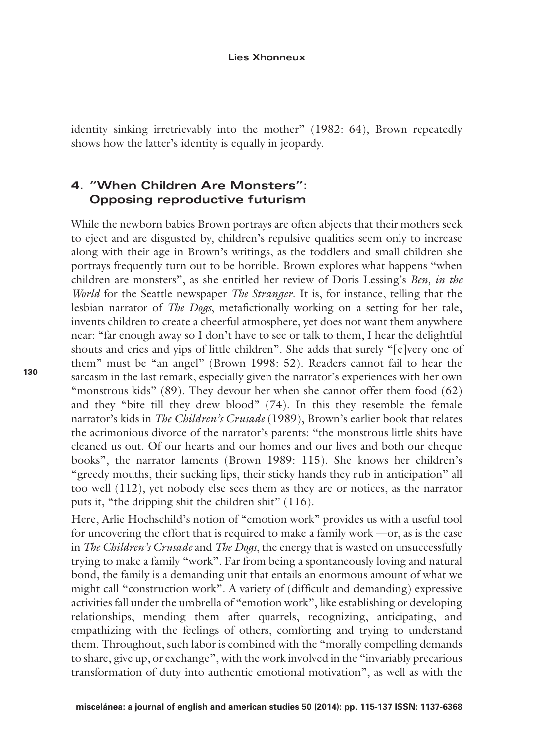identity sinking irretrievably into the mother" (1982: 64), Brown repeatedly shows how the latter's identity is equally in jeopardy.

## **4. "When Children Are Monsters": Opposing reproductive futurism**

While the newborn babies Brown portrays are often abjects that their mothers seek to eject and are disgusted by, children's repulsive qualities seem only to increase along with their age in Brown's writings, as the toddlers and small children she portrays frequently turn out to be horrible. Brown explores what happens "when children are monsters", as she entitled her review of Doris Lessing's *Ben, in the World* for the Seattle newspaper *The Stranger*. It is, for instance, telling that the lesbian narrator of *The Dogs*, metafictionally working on a setting for her tale, invents children to create a cheerful atmosphere, yet does not want them anywhere near: "far enough away so I don't have to see or talk to them, I hear the delightful shouts and cries and yips of little children". She adds that surely "[e]very one of them" must be "an angel" (Brown 1998: 52). Readers cannot fail to hear the sarcasm in the last remark, especially given the narrator's experiences with her own "monstrous kids" (89). They devour her when she cannot offer them food  $(62)$ and they "bite till they drew blood" (74). In this they resemble the female narrator's kids in *The Children's Crusade* (1989), Brown's earlier book that relates the acrimonious divorce of the narrator's parents: "the monstrous little shits have cleaned us out. Of our hearts and our homes and our lives and both our cheque books", the narrator laments (Brown 1989: 115). She knows her children's "greedy mouths, their sucking lips, their sticky hands they rub in anticipation" all too well (112), yet nobody else sees them as they are or notices, as the narrator puts it, "the dripping shit the children shit" (116).

Here, Arlie Hochschild's notion of "emotion work" provides us with a useful tool for uncovering the effort that is required to make a family work —or, as is the case in *The Children's Crusade* and *The Dogs*, the energy that is wasted on unsuccessfully trying to make a family "work". Far from being a spontaneously loving and natural bond, the family is a demanding unit that entails an enormous amount of what we might call "construction work". A variety of (difficult and demanding) expressive activities fall under the umbrella of "emotion work", like establishing or developing relationships, mending them after quarrels, recognizing, anticipating, and empathizing with the feelings of others, comforting and trying to understand them. Throughout, such labor is combined with the "morally compelling demands to share, give up, or exchange", with the work involved in the "invariably precarious transformation of duty into authentic emotional motivation", as well as with the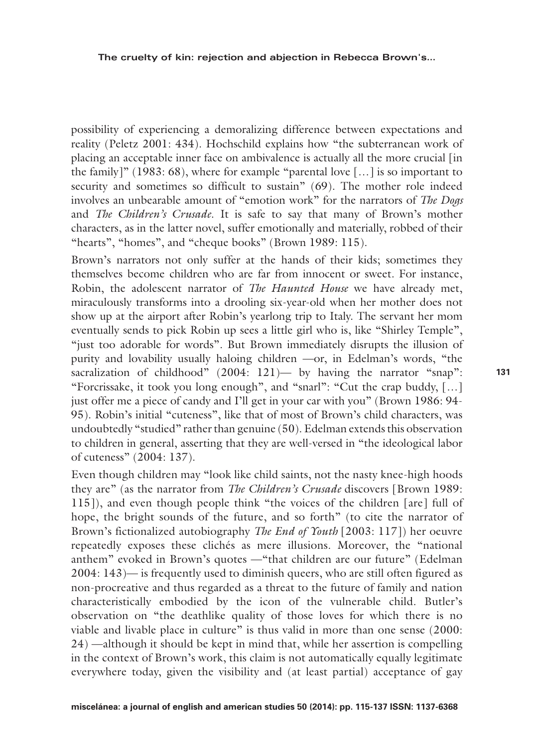possibility of experiencing a demoralizing difference between expectations and reality (Peletz 2001: 434). Hochschild explains how "the subterranean work of placing an acceptable inner face on ambivalence is actually all the more crucial [in the family]" (1983: 68), where for example "parental love […] is so important to security and sometimes so difficult to sustain" (69). The mother role indeed involves an unbearable amount of "emotion work" for the narrators of *The Dogs* and *The Children's Crusade*. It is safe to say that many of Brown's mother characters, as in the latter novel, suffer emotionally and materially, robbed of their "hearts", "homes", and "cheque books" (Brown 1989: 115).

Brown's narrators not only suffer at the hands of their kids; sometimes they themselves become children who are far from innocent or sweet. For instance, Robin, the adolescent narrator of *The Haunted House* we have already met, miraculously transforms into a drooling six-year-old when her mother does not show up at the airport after Robin's yearlong trip to Italy. The servant her mom eventually sends to pick Robin up sees a little girl who is, like "Shirley Temple", "just too adorable for words". But Brown immediately disrupts the illusion of purity and lovability usually haloing children —or, in Edelman's words, "the sacralization of childhood"  $(2004: 121)$ — by having the narrator "snap": "Forcrissake, it took you long enough", and "snarl": "Cut the crap buddy, […] just offer me a piece of candy and I'll get in your car with you" (Brown 1986: 94- 95). Robin's initial "cuteness", like that of most of Brown's child characters, was undoubtedly "studied" rather than genuine (50). Edelman extends this observation to children in general, asserting that they are well-versed in "the ideological labor of cuteness" (2004: 137).

Even though children may "look like child saints, not the nasty knee-high hoods they are" (as the narrator from *The Children's Crusade* discovers [Brown 1989: 115]), and even though people think "the voices of the children [are] full of hope, the bright sounds of the future, and so forth" (to cite the narrator of Brown's fictionalized autobiography *The End of Youth* [2003: 117]) her oeuvre repeatedly exposes these clichés as mere illusions. Moreover, the "national anthem" evoked in Brown's quotes —"that children are our future" (Edelman 2004: 143)— is frequently used to diminish queers, who are still often figured as non-procreative and thus regarded as a threat to the future of family and nation characteristically embodied by the icon of the vulnerable child. Butler's observation on "the deathlike quality of those loves for which there is no viable and livable place in culture" is thus valid in more than one sense (2000: 24) —although it should be kept in mind that, while her assertion is compelling in the context of Brown's work, this claim is not automatically equally legitimate everywhere today, given the visibility and (at least partial) acceptance of gay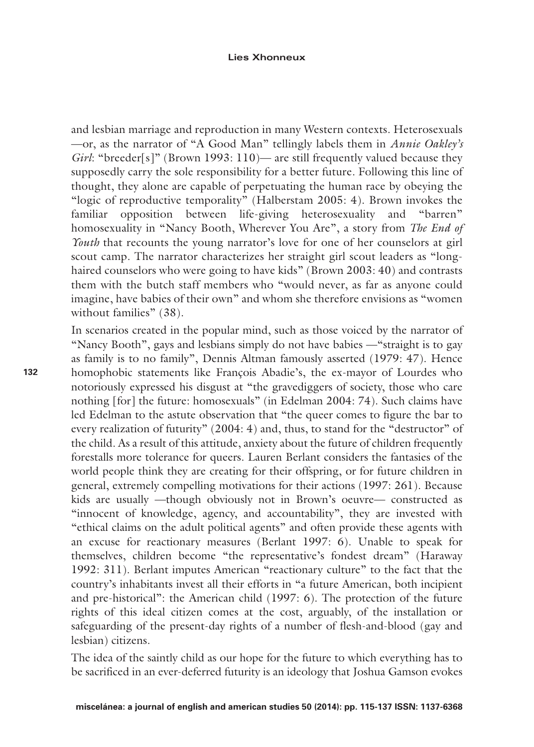and lesbian marriage and reproduction in many Western contexts. Heterosexuals —or, as the narrator of "A Good Man" tellingly labels them in *Annie Oakley's Girl*: "breeder[s]" (Brown 1993: 110)— are still frequently valued because they supposedly carry the sole responsibility for a better future. Following this line of thought, they alone are capable of perpetuating the human race by obeying the "logic of reproductive temporality" (Halberstam 2005: 4). Brown invokes the familiar opposition between life-giving heterosexuality and "barren" homosexuality in "Nancy Booth, Wherever You Are", a story from *The End of Youth* that recounts the young narrator's love for one of her counselors at girl scout camp. The narrator characterizes her straight girl scout leaders as "longhaired counselors who were going to have kids" (Brown 2003: 40) and contrasts them with the butch staff members who "would never, as far as anyone could imagine, have babies of their own" and whom she therefore envisions as "women without families" (38).

In scenarios created in the popular mind, such as those voiced by the narrator of "Nancy Booth", gays and lesbians simply do not have babies —"straight is to gay as family is to no family", Dennis Altman famously asserted (1979: 47). Hence homophobic statements like François Abadie's, the ex-mayor of Lourdes who notoriously expressed his disgust at "the gravediggers of society, those who care nothing [for] the future: homosexuals" (in Edelman 2004: 74). Such claims have led Edelman to the astute observation that "the queer comes to figure the bar to every realization of futurity" (2004: 4) and, thus, to stand for the "destructor" of the child. As a result of this attitude, anxiety about the future of children frequently forestalls more tolerance for queers. Lauren Berlant considers the fantasies of the world people think they are creating for their offspring, or for future children in general, extremely compelling motivations for their actions (1997: 261). Because kids are usually —though obviously not in Brown's oeuvre— constructed as "innocent of knowledge, agency, and accountability", they are invested with "ethical claims on the adult political agents" and often provide these agents with an excuse for reactionary measures (Berlant 1997: 6). Unable to speak for themselves, children become "the representative's fondest dream" (Haraway 1992: 311). Berlant imputes American "reactionary culture" to the fact that the country's inhabitants invest all their efforts in "a future American, both incipient and pre-historical": the American child (1997: 6). The protection of the future rights of this ideal citizen comes at the cost, arguably, of the installation or safeguarding of the present-day rights of a number of flesh-and-blood (gay and lesbian) citizens.

The idea of the saintly child as our hope for the future to which everything has to be sacrificed in an ever-deferred futurity is an ideology that Joshua Gamson evokes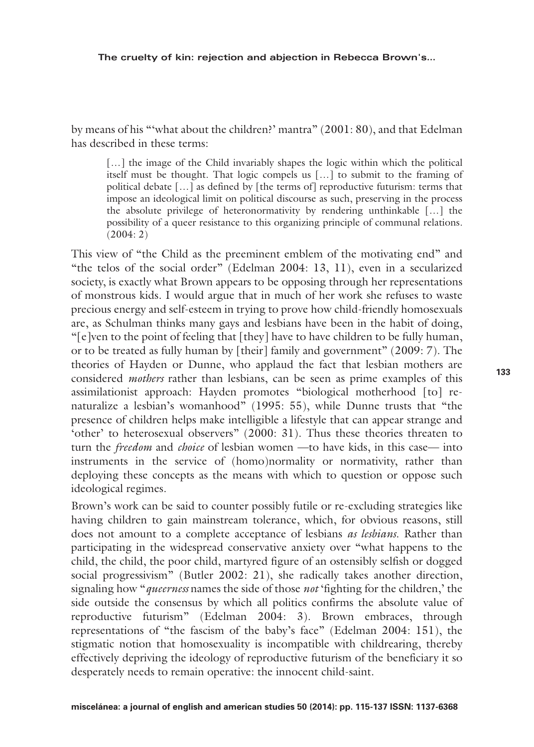by means of his "'what about the children?' mantra" (2001: 80), and that Edelman has described in these terms:

[...] the image of the Child invariably shapes the logic within which the political itself must be thought. That logic compels us […] to submit to the framing of political debate […] as defined by [the terms of] reproductive futurism: terms that impose an ideological limit on political discourse as such, preserving in the process the absolute privilege of heteronormativity by rendering unthinkable […] the possibility of a queer resistance to this organizing principle of communal relations. (2004: 2)

This view of "the Child as the preeminent emblem of the motivating end" and "the telos of the social order" (Edelman 2004: 13, 11), even in a secularized society, is exactly what Brown appears to be opposing through her representations of monstrous kids. I would argue that in much of her work she refuses to waste precious energy and self-esteem in trying to prove how child-friendly homosexuals are, as Schulman thinks many gays and lesbians have been in the habit of doing, "[e]ven to the point of feeling that [they] have to have children to be fully human, or to be treated as fully human by [their] family and government" (2009: 7). The theories of Hayden or Dunne, who applaud the fact that lesbian mothers are considered *mothers* rather than lesbians, can be seen as prime examples of this assimilationist approach: Hayden promotes "biological motherhood [to] renaturalize a lesbian's womanhood" (1995: 55), while Dunne trusts that "the presence of children helps make intelligible a lifestyle that can appear strange and 'other' to heterosexual observers" (2000: 31). Thus these theories threaten to turn the *freedom* and *choice* of lesbian women —to have kids, in this case— into instruments in the service of (homo)normality or normativity, rather than deploying these concepts as the means with which to question or oppose such ideological regimes.

Brown's work can be said to counter possibly futile or re-excluding strategies like having children to gain mainstream tolerance, which, for obvious reasons, still does not amount to a complete acceptance of lesbians *as lesbians*. Rather than participating in the widespread conservative anxiety over "what happens to the child, the child, the poor child, martyred figure of an ostensibly selfish or dogged social progressivism" (Butler 2002: 21), she radically takes another direction, signaling how "*queerness* names the side of those *not* 'fighting for the children,' the side outside the consensus by which all politics confirms the absolute value of reproductive futurism" (Edelman 2004: 3). Brown embraces, through representations of "the fascism of the baby's face" (Edelman 2004: 151), the stigmatic notion that homosexuality is incompatible with childrearing, thereby effectively depriving the ideology of reproductive futurism of the beneficiary it so desperately needs to remain operative: the innocent child-saint.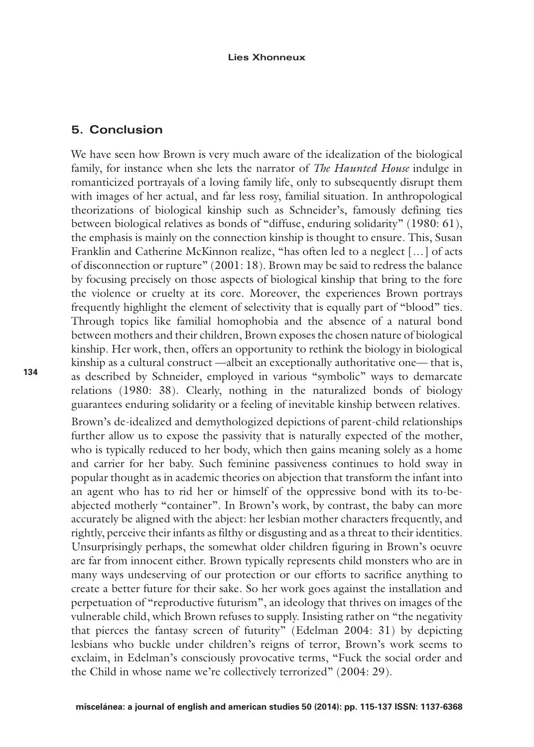## **5. Conclusion**

We have seen how Brown is very much aware of the idealization of the biological family, for instance when she lets the narrator of *The Haunted House* indulge in romanticized portrayals of a loving family life, only to subsequently disrupt them with images of her actual, and far less rosy, familial situation. In anthropological theorizations of biological kinship such as Schneider's, famously defining ties between biological relatives as bonds of "diffuse, enduring solidarity" (1980: 61), the emphasis is mainly on the connection kinship is thought to ensure. This, Susan Franklin and Catherine McKinnon realize, "has often led to a neglect […] of acts of disconnection or rupture" (2001: 18). Brown may be said to redress the balance by focusing precisely on those aspects of biological kinship that bring to the fore the violence or cruelty at its core. Moreover, the experiences Brown portrays frequently highlight the element of selectivity that is equally part of "blood" ties. Through topics like familial homophobia and the absence of a natural bond between mothers and their children, Brown exposes the chosen nature of biological kinship. Her work, then, offers an opportunity to rethink the biology in biological kinship as a cultural construct —albeit an exceptionally authoritative one— that is, as described by Schneider, employed in various "symbolic" ways to demarcate relations (1980: 38). Clearly, nothing in the naturalized bonds of biology guarantees enduring solidarity or a feeling of inevitable kinship between relatives.

Brown's de-idealized and demythologized depictions of parent-child relationships further allow us to expose the passivity that is naturally expected of the mother, who is typically reduced to her body, which then gains meaning solely as a home and carrier for her baby. Such feminine passiveness continues to hold sway in popular thought as in academic theories on abjection that transform the infant into an agent who has to rid her or himself of the oppressive bond with its to-beabjected motherly "container". In Brown's work, by contrast, the baby can more accurately be aligned with the abject: her lesbian mother characters frequently, and rightly, perceive their infants as filthy or disgusting and as a threat to their identities. Unsurprisingly perhaps, the somewhat older children figuring in Brown's oeuvre are far from innocent either. Brown typically represents child monsters who are in many ways undeserving of our protection or our efforts to sacrifice anything to create a better future for their sake. So her work goes against the installation and perpetuation of "reproductive futurism", an ideology that thrives on images of the vulnerable child, which Brown refuses to supply. Insisting rather on "the negativity that pierces the fantasy screen of futurity" (Edelman 2004: 31) by depicting lesbians who buckle under children's reigns of terror, Brown's work seems to exclaim, in Edelman's consciously provocative terms, "Fuck the social order and the Child in whose name we're collectively terrorized" (2004: 29).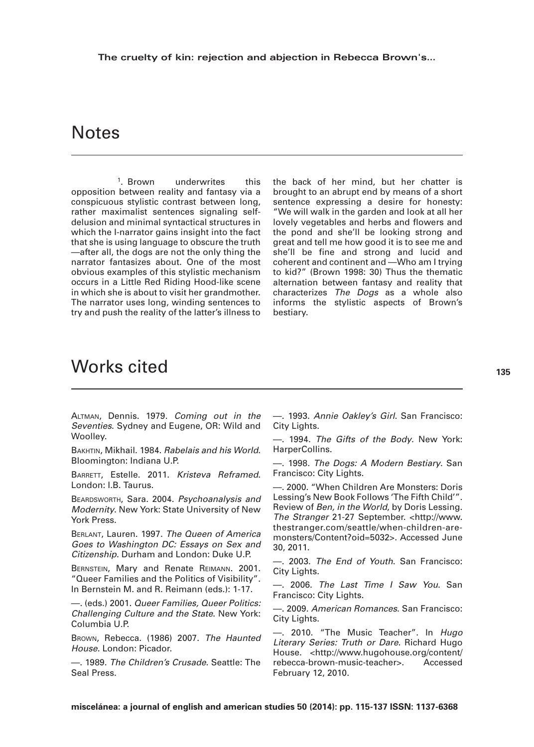# **Notes**

<sup>1</sup>. Brown underwrites this opposition between reality and fantasy via a conspicuous stylistic contrast between long, rather maximalist sentences signaling selfdelusion and minimal syntactical structures in which the I-narrator gains insight into the fact that she is using language to obscure the truth —after all, the dogs are not the only thing the narrator fantasizes about. One of the most obvious examples of this stylistic mechanism occurs in a Little Red Riding Hood-like scene in which she is about to visit her grandmother. The narrator uses long, winding sentences to try and push the reality of the latter's illness to

the back of her mind, but her chatter is brought to an abrupt end by means of a short sentence expressing a desire for honesty: "We will walk in the garden and look at all her lovely vegetables and herbs and flowers and the pond and she'll be looking strong and great and tell me how good it is to see me and she'll be fine and strong and lucid and coherent and continent and —Who am I trying to kid?" (Brown 1998: 30) Thus the thematic alternation between fantasy and reality that characterizes *The Dogs* as a whole also informs the stylistic aspects of Brown's bestiary.

# Works cited

Altman, Dennis. 1979. *Coming out in the Seventies*. Sydney and Eugene, OR: Wild and Woolley.

Bakhtin, Mikhail. 1984. *Rabelais and his World*. Bloomington: Indiana U.P.

BARRETT, Estelle. 2011. *Kristeva Reframed.* London: I.B. Taurus.

Beardsworth, Sara. 2004. *Psychoanalysis and Modernity*. New York: State University of New York Press.

Berlant, Lauren. 1997. *The Queen of America Goes to Washington DC: Essays on Sex and Citizenship*. Durham and London: Duke U.P.

Bernstein, Mary and Renate Reimann. 2001. "Queer Families and the Politics of Visibility". In Bernstein M. and R. Reimann (eds.): 1-17.

—. (eds.) 2001. *Queer Families, Queer Politics: Challenging Culture and the State*. New York: Columbia U.P.

Brown, Rebecca. (1986) 2007. *The Haunted House*. London: Picador.

—. 1989. *The Children's Crusade*. Seattle: The Seal Press.

—. 1993. *Annie Oakley's Girl*. San Francisco: City Lights.

—. 1994. *The Gifts of the Body*. New York: HarperCollins.

—. 1998. *The Dogs: A Modern Bestiary*. San Francisco: City Lights.

—. 2000. "When Children Are Monsters: Doris Lessing's New Book Follows 'The Fifth Child'". Review of *Ben, in the World*, by Doris Lessing. *The Stranger* 21-27 September. <http://www. thestranger.com/seattle/when-children-aremonsters/Content?oid=5032>. Accessed June 30, 2011.

—. 2003. *The End of Youth*. San Francisco: City Lights.

—. 2006. *The Last Time I Saw You*. San Francisco: City Lights.

—. 2009. *American Romances*. San Francisco: City Lights.

—. 2010. "The Music Teacher". In *Hugo Literary Series: Truth or Dare*. Richard Hugo House. <http://www.hugohouse.org/content/ rebecca-brown-music-teacher>. Accessed February 12, 2010.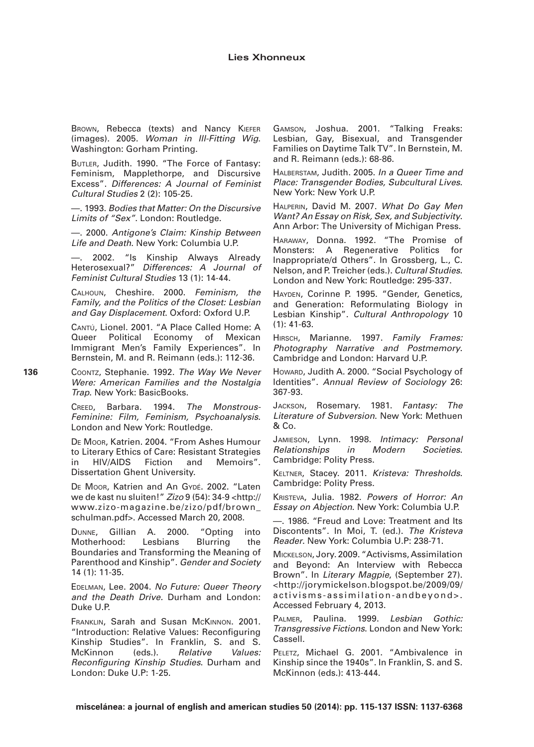BROWN, Rebecca (texts) and Nancy KIEFER (images). 2005. *Woman in Ill-Fitting Wig*. Washington: Gorham Printing.

BUTLER, Judith. 1990. "The Force of Fantasy: Feminism, Mapplethorpe, and Discursive Excess". *Differences: A Journal of Feminist Cultural Studies* 2 (2): 105-25.

—. 1993. *Bodies that Matter: On the Discursive Limits of "Sex"*. London: Routledge.

—. 2000. *Antigone's Claim: Kinship Between Life and Death*. New York: Columbia U.P.

2002. "Is Kinship Always Already Heterosexual?" *Differences: A Journal of Feminist Cultural Studies* 13 (1): 14-44.

Calhoun, Cheshire. 2000. *Feminism, the Family, and the Politics of the Closet: Lesbian and Gay Displacement*. Oxford: Oxford U.P.

Cantú, Lionel. 2001. "A Place Called Home: A Queer Political Economy of Mexican Immigrant Men's Family Experiences". In Bernstein, M. and R. Reimann (eds.): 112-36.

**136**

Coontz, Stephanie. 1992. *The Way We Never Were: American Families and the Nostalgia Trap*. New York: BasicBooks.

Creed, Barbara. 1994. *The Monstrous-Feminine: Film, Feminism, Psychoanalysis*. London and New York: Routledge.

De Moor, Katrien. 2004. "From Ashes Humour to Literary Ethics of Care: Resistant Strategies in HIV/AIDS Fiction and Memoirs". Dissertation Ghent University.

DE Moor, Katrien and An Gypé. 2002. "Laten we de kast nu sluiten!" *Zizo* 9 (54): 34-9 <http:// www.zizo-magazine.be/zizo/pdf/brown\_ schulman.pdf>. Accessed March 20, 2008.

Dunne, Gillian A. 2000. "Opting into<br>Motherhood: Lesbians Blurring the Motherhood: Lesbians Blurring the Boundaries and Transforming the Meaning of Parenthood and Kinship". *Gender and Society* 14 (1): 11-35.

Edelman, Lee. 2004. *No Future: Queer Theory and the Death Drive.* Durham and London: Duke U.P.

Franklin, Sarah and Susan McKinnon. 2001. "Introduction: Relative Values: Reconfiguring Kinship Studies". In Franklin, S. and S. McKinnon (eds.). *Relative Values: Reconfiguring Kinship Studies*. Durham and London: Duke U.P: 1-25.

Gamson, Joshua. 2001. "Talking Freaks: Lesbian, Gay, Bisexual, and Transgender Families on Daytime Talk TV". In Bernstein, M. and R. Reimann (eds.): 68-86.

Halberstam, Judith. 2005. *In a Queer Time and Place: Transgender Bodies, Subcultural Lives*. New York: New York U.P.

Halperin, David M. 2007. *What Do Gay Men Want? An Essay on Risk, Sex, and Subjectivity*. Ann Arbor: The University of Michigan Press.

Haraway, Donna. 1992. "The Promise of Monsters: A Regenerative Politics for Inappropriate/d Others". In Grossberg, L., C. Nelson, and P. Treicher (eds.). *Cultural Studies*. London and New York: Routledge: 295-337.

Hayden, Corinne P. 1995. "Gender, Genetics, and Generation: Reformulating Biology in Lesbian Kinship". *Cultural Anthropology* 10 (1): 41-63.

Hirsch, Marianne. 1997. *Family Frames: Photography Narrative and Postmemory*. Cambridge and London: Harvard U.P.

Howard, Judith A. 2000. "Social Psychology of Identities". *Annual Review of Sociology* 26: 367-93.

Jackson, Rosemary. 1981. *Fantasy: The Literature of Subversion*. New York: Methuen & Co.

Jamieson, Lynn. 1998. *Intimacy: Personal Relationships in Modern Societies*. Cambridge: Polity Press.

Keltner, Stacey. 2011. *Kristeva: Thresholds*. Cambridge: Polity Press.

Kristeva, Julia. 1982. *Powers of Horror: An Essay on Abjection*. New York: Columbia U.P.

—. 1986. "Freud and Love: Treatment and Its Discontents". In Moi, T. (ed.). *The Kristeva Reader*. New York: Columbia U.P: 238-71.

Mickelson, Jory. 2009. "Activisms, Assimilation and Beyond: An Interview with Rebecca Brown". In *Literary Magpie*, (September 27). <http://jorymickelson.blogspot.be/2009/09/ activisms-assimilation-andbeyond>. Accessed February 4, 2013.

Palmer, Paulina. 1999. *Lesbian Gothic: Transgressive Fictions*. London and New York: Cassell.

PELETZ, Michael G. 2001. "Ambivalence in Kinship since the 1940s". In Franklin, S. and S. McKinnon (eds.): 413-444.